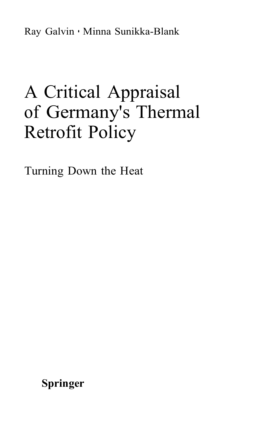Ray Galvin • Minna Sunikka-Blank

## A Critical Appraisal of Germany's Thermal Retrofit Policy

Turning Down the Heat

**Springer**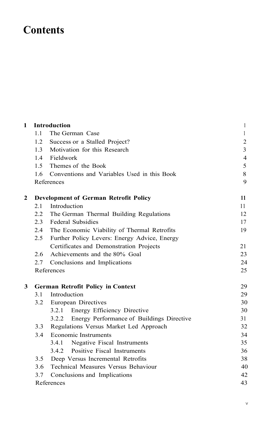## **Contents**

| 1            |                                              | <b>Introduction</b>                                | 1              |
|--------------|----------------------------------------------|----------------------------------------------------|----------------|
|              | 1.1                                          | The German Case                                    | 1              |
|              | 1.2                                          | Success or a Stalled Project?                      | $\sqrt{2}$     |
|              | 1.3                                          | Motivation for this Research                       | $\overline{3}$ |
|              | 1.4                                          | Fieldwork                                          | $\overline{4}$ |
|              | 1.5                                          | Themes of the Book                                 | 5              |
|              | 1.6                                          | Conventions and Variables Used in this Book        | 8              |
|              | References                                   | 9                                                  |                |
| $\mathbf{2}$ | <b>Development of German Retrofit Policy</b> |                                                    |                |
|              | 2.1                                          | Introduction                                       | 11             |
|              | 2.2                                          | The German Thermal Building Regulations            | 12             |
|              | 2.3                                          | <b>Federal Subsidies</b>                           | 17             |
|              | 2.4                                          | The Economic Viability of Thermal Retrofits        | 19             |
|              | 2.5                                          | Further Policy Levers: Energy Advice, Energy       |                |
|              |                                              | Certificates and Demonstration Projects            | 21             |
|              | 2.6                                          | Achievements and the 80% Goal                      | 23             |
|              | 2.7                                          | Conclusions and Implications                       | 24             |
|              | References                                   |                                                    | 25             |
| 3            | <b>German Retrofit Policy in Context</b>     |                                                    |                |
|              | 3.1                                          | Introduction                                       | 29             |
|              | 3.2                                          | European Directives                                | 30             |
|              |                                              | Energy Efficiency Directive<br>3.2.1               | 30             |
|              |                                              | Energy Performance of Buildings Directive<br>3.2.2 | 31             |
|              | 3.3                                          | Regulations Versus Market Led Approach             | 32             |
|              | 3.4                                          | <b>Economic Instruments</b>                        | 34             |
|              |                                              | Negative Fiscal Instruments<br>3.4.1               | 35             |
|              |                                              | 3.4.2 Positive Fiscal Instruments                  | 36             |
|              | 3.5                                          | Deep Versus Incremental Retrofits                  | 38             |
|              | 3.6                                          | Technical Measures Versus Behaviour                | 40             |
|              | 3.7                                          | Conclusions and Implications                       |                |
|              | References                                   |                                                    | 43             |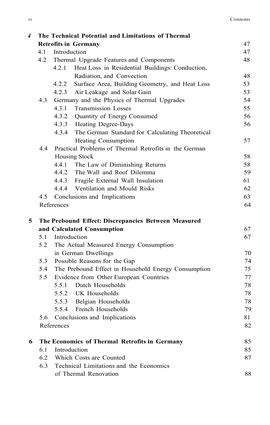| 4 |                                                     |                                                       | The Technical Potential and Limitations of Thermal  |    |  |  |
|---|-----------------------------------------------------|-------------------------------------------------------|-----------------------------------------------------|----|--|--|
|   |                                                     |                                                       | <b>Retrofits in Germany</b>                         | 47 |  |  |
|   | 4.1                                                 | Introduction                                          |                                                     | 47 |  |  |
|   | 4.2                                                 |                                                       | Thermal Upgrade Features and Components             | 48 |  |  |
|   |                                                     | 4.2.1                                                 | Heat Loss in Residential Buildings: Conduction,     |    |  |  |
|   |                                                     |                                                       | Radiation, and Convection                           | 48 |  |  |
|   |                                                     | 4.2.2                                                 | Surface Area, Building Geometry, and Heat Loss      | 53 |  |  |
|   |                                                     |                                                       | 4.2.3 Air Leakage and Solar Gain                    | 53 |  |  |
|   | 4.3                                                 |                                                       | Germany and the Physics of Thermal Upgrades         | 54 |  |  |
|   |                                                     | 4.3.1                                                 | <b>Transmission Losses</b>                          | 55 |  |  |
|   |                                                     | 4.3.2                                                 | Quantity of Energy Consumed                         | 56 |  |  |
|   |                                                     |                                                       | 4.3.3 Heating Degree-Days                           | 56 |  |  |
|   |                                                     | 4.3.4                                                 | The German Standard for Calculating Theoretical     |    |  |  |
|   |                                                     |                                                       | <b>Heating Consumption</b>                          | 57 |  |  |
|   | 4.4                                                 | Practical Problems of Thermal Retrofits in the German |                                                     |    |  |  |
|   |                                                     |                                                       | <b>Housing Stock</b>                                | 58 |  |  |
|   |                                                     | 4.4.1                                                 | The Law of Diminishing Returns                      | 58 |  |  |
|   |                                                     | 4.4.2                                                 | The Wall and Roof Dilemma                           | 59 |  |  |
|   |                                                     |                                                       | 4.4.3 Fragile External Wall Insulation              | 61 |  |  |
|   |                                                     |                                                       | 4.4.4 Ventilation and Mould Risks                   | 62 |  |  |
|   | 4.5<br>Conclusions and Implications                 |                                                       |                                                     | 63 |  |  |
|   |                                                     | References                                            |                                                     | 64 |  |  |
| 5 | The Prebound Effect: Discrepancies Between Measured |                                                       |                                                     |    |  |  |
|   |                                                     |                                                       | and Calculated Consumption                          | 67 |  |  |
|   | 5.1                                                 |                                                       | Introduction                                        | 67 |  |  |
|   | 5.2                                                 | The Actual Measured Energy Consumption                |                                                     |    |  |  |
|   |                                                     |                                                       | in German Dwellings                                 | 70 |  |  |
|   | 5.3                                                 | Possible Reasons for the Gap                          |                                                     |    |  |  |
|   | 5.4                                                 |                                                       | The Prebound Effect in Household Energy Consumption | 75 |  |  |
|   | 5.5                                                 |                                                       | Evidence from Other European Countries              | 77 |  |  |
|   |                                                     |                                                       | 5.5.1 Dutch Households                              | 78 |  |  |
|   |                                                     | 5.5.2                                                 | UK Households                                       | 78 |  |  |
|   |                                                     |                                                       | 5.5.3 Belgian Households                            | 78 |  |  |
|   |                                                     | 5.5.4                                                 | French Households                                   | 79 |  |  |
|   | 5.6                                                 |                                                       | Conclusions and Implications                        | 81 |  |  |
|   |                                                     | References                                            |                                                     | 82 |  |  |
| 6 | The Economics of Thermal Retrofits in Germany       |                                                       |                                                     |    |  |  |
|   | 6.1                                                 |                                                       | Introduction                                        | 85 |  |  |
|   | 6.2                                                 |                                                       | Which Costs are Counted                             | 87 |  |  |
|   | 6.3                                                 |                                                       | Technical Limitations and the Economics             |    |  |  |
|   |                                                     | 88                                                    |                                                     |    |  |  |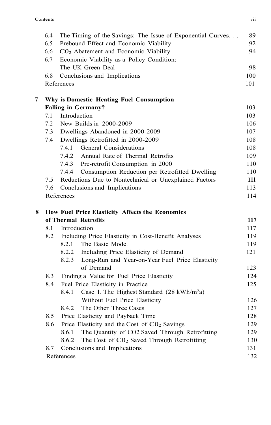|   | 6.4                                             | The Timing of the Savings: The Issue of Exponential Curves      | 89          |  |  |
|---|-------------------------------------------------|-----------------------------------------------------------------|-------------|--|--|
|   | 6.5                                             | Prebound Effect and Economic Viability                          | 92          |  |  |
|   | 6.6                                             | CO <sub>2</sub> Abatement and Economic Viability                | 94          |  |  |
|   | 6.7                                             | Economic Viability as a Policy Condition:                       |             |  |  |
|   |                                                 | The UK Green Deal                                               | 98          |  |  |
|   | 6.8                                             | Conclusions and Implications                                    | 100         |  |  |
|   |                                                 | References                                                      | 101         |  |  |
| 7 |                                                 | Why is Domestic Heating Fuel Consumption                        |             |  |  |
|   |                                                 | <b>Falling in Germany?</b>                                      | 103         |  |  |
|   | 7.1                                             | Introduction                                                    | 103         |  |  |
|   | 7.2                                             | New Builds in 2000-2009                                         | 106         |  |  |
|   | 7.3                                             | Dwellings Abandoned in 2000-2009                                | 107         |  |  |
|   | 7.4                                             | Dwellings Retrofitted in 2000-2009                              | 108         |  |  |
|   |                                                 | General Considerations<br>7.4.1                                 | 108         |  |  |
|   |                                                 | 7.4.2<br>Annual Rate of Thermal Retrofits                       | 109         |  |  |
|   |                                                 | 7.4.3 Pre-retrofit Consumption in 2000                          | 110         |  |  |
|   |                                                 | Consumption Reduction per Retrofitted Dwelling<br>7.4.4         | 110         |  |  |
|   | 7.5                                             | Reductions Due to Nontechnical or Unexplained Factors           | <b>I</b> 11 |  |  |
|   | 7.6                                             | Conclusions and Implications                                    | 113         |  |  |
|   |                                                 | References                                                      | 114         |  |  |
| 8 | How Fuel Price Elasticity Affects the Economics |                                                                 |             |  |  |
|   |                                                 | of Thermal Retrofits                                            | 117         |  |  |
|   | 8.1                                             | Introduction                                                    | 117         |  |  |
|   | 8.2                                             | Including Price Elasticity in Cost-Benefit Analyses             | 119         |  |  |
|   |                                                 | 8.2.1 The Basic Model                                           | 119         |  |  |
|   |                                                 | 8.2.2 Including Price Elasticity of Demand                      | 121         |  |  |
|   |                                                 | 8.2.3 Long-Run and Year-on-Year Fuel Price Elasticity           |             |  |  |
|   |                                                 | of Demand                                                       | 123         |  |  |
|   | 8.3                                             | Finding a Value for Fuel Price Elasticity                       | 124         |  |  |
|   | 8.4                                             | Fuel Price Elasticity in Practice                               | 125         |  |  |
|   |                                                 | Case 1. The Highest Standard (28 kWh/m <sup>2</sup> a)<br>8.4.1 |             |  |  |
|   |                                                 | Without Fuel Price Elasticity                                   | 126         |  |  |
|   |                                                 | 8.4.2<br>The Other Three Cases                                  | 127         |  |  |
|   | 8.5                                             | Price Elasticity and Payback Time                               | 128         |  |  |
|   | 8.6                                             | Price Elasticity and the Cost of CO <sub>2</sub> Savings        | 129         |  |  |
|   |                                                 | The Quantity of CO2 Saved Through Retrofitting<br>8.6.1         | 129         |  |  |
|   |                                                 | The Cost of CO <sub>2</sub> Saved Through Retrofitting<br>8.6.2 | 130         |  |  |
|   | 8.7                                             | Conclusions and Implications                                    | 131         |  |  |
|   |                                                 | References                                                      | 132         |  |  |